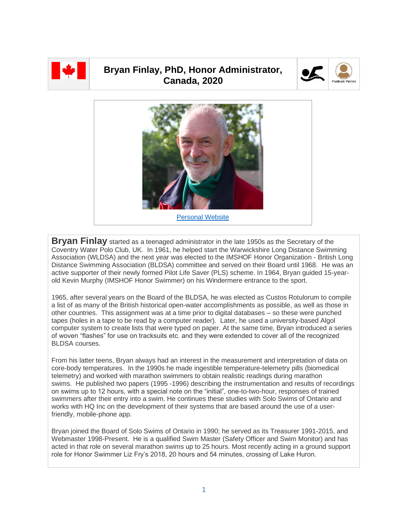

## **Bryan Finlay, PhD, Honor Administrator, Canada, 2020**





**Bryan Finlay** started as a teenaged administrator in the late 1950s as the Secretary of the Coventry Water Polo Club, UK. In 1961, he helped start the Warwickshire Long Distance Swimming Association (WLDSA) and the next year was elected to the IMSHOF Honor Organization - British Long Distance Swimming Association (BLDSA) committee and served on their Board until 1968. He was an active supporter of their newly formed Pilot Life Saver (PLS) scheme. In 1964, Bryan guided 15-yearold Kevin Murphy (IMSHOF Honor Swimmer) on his Windermere entrance to the sport.

1965, after several years on the Board of the BLDSA, he was elected as Custos Rotulorum to compile a list of as many of the British historical open-water accomplishments as possible, as well as those in other countries. This assignment was at a time prior to digital databases – so these were punched tapes (holes in a tape to be read by a computer reader). Later, he used a university-based Algol computer system to create lists that were typed on paper. At the same time, Bryan introduced a series of woven "flashes" for use on tracksuits etc. and they were extended to cover all of the recognized BLDSA courses.

From his latter teens, Bryan always had an interest in the measurement and interpretation of data on core-body temperatures. In the 1990s he made ingestible temperature-telemetry pills (biomedical telemetry) and worked with marathon swimmers to obtain realistic readings during marathon swims. He published two papers (1995 -1996) describing the instrumentation and results of recordings on swims up to 12 hours, with a special note on the "initial", one-to-two-hour, responses of trained swimmers after their entry into a swim. He continues these studies with Solo Swims of Ontario and works with HQ Inc on the development of their systems that are based around the use of a userfriendly, mobile-phone app.

Bryan joined the Board of Solo Swims of Ontario in 1990; he served as its Treasurer 1991-2015, and Webmaster 1998-Present. He is a qualified Swim Master (Safety Officer and Swim Monitor) and has acted in that role on several marathon swims up to 25 hours. Most recently acting in a ground support role for Honor Swimmer Liz Fry's 2018, 20 hours and 54 minutes, crossing of Lake Huron.